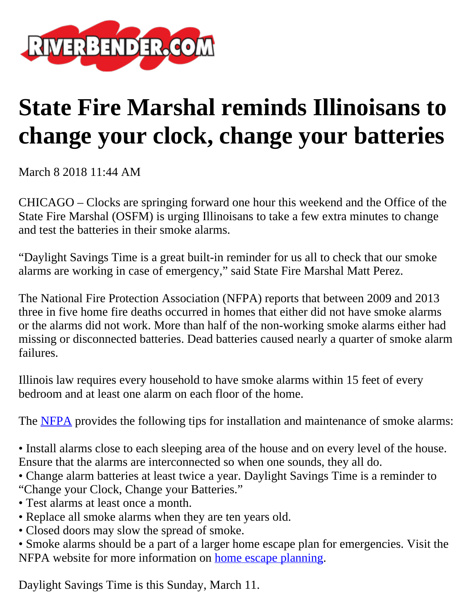

## **State Fire Marshal reminds Illinoisans to change your clock, change your batteries**

March 8 2018 11:44 AM

CHICAGO – Clocks are springing forward one hour this weekend and the Office of the State Fire Marshal (OSFM) is urging Illinoisans to take a few extra minutes to change and test the batteries in their smoke alarms.

"Daylight Savings Time is a great built-in reminder for us all to check that our smoke alarms are working in case of emergency," said State Fire Marshal Matt Perez.

The National Fire Protection Association (NFPA) reports that between 2009 and 2013 three in five home fire deaths occurred in homes that either did not have smoke alarms or the alarms did not work. More than half of the non-working smoke alarms either had missing or disconnected batteries. Dead batteries caused nearly a quarter of smoke alarm failures.

Illinois law requires every household to have smoke alarms within 15 feet of every bedroom and at least one alarm on each floor of the home.

The **NFPA** provides the following tips for installation and maintenance of smoke alarms:

• Install alarms close to each sleeping area of the house and on every level of the house. Ensure that the alarms are interconnected so when one sounds, they all do.

- Change alarm batteries at least twice a year. Daylight Savings Time is a reminder to "Change your Clock, Change your Batteries."
- Test alarms at least once a month.
- Replace all smoke alarms when they are ten years old.
- Closed doors may slow the spread of smoke.
- Smoke alarms should be a part of a larger home escape plan for emergencies. Visit the NFPA website for more information on [home escape planning.](http://www.nfpa.org/Public-Education/By-topic/Safety-in-the-home/Escape-planning)

Daylight Savings Time is this Sunday, March 11.